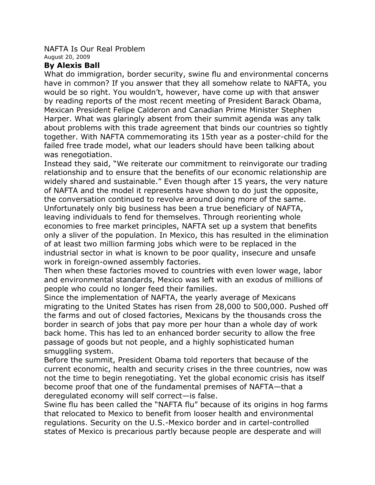## NAFTA Is Our Real Problem August 20, 2009

## **By Alexis Ball**

What do immigration, border security, swine flu and environmental concerns have in common? If you answer that they all somehow relate to NAFTA, you would be so right. You wouldn't, however, have come up with that answer by reading reports of the most recent meeting of President Barack Obama, Mexican President Felipe Calderon and Canadian Prime Minister Stephen Harper. What was glaringly absent from their summit agenda was any talk about problems with this trade agreement that binds our countries so tightly together. With NAFTA commemorating its 15th year as a poster-child for the failed free trade model, what our leaders should have been talking about was renegotiation.

Instead they said, "We reiterate our commitment to reinvigorate our trading relationship and to ensure that the benefits of our economic relationship are widely shared and sustainable." Even though after 15 years, the very nature of NAFTA and the model it represents have shown to do just the opposite, the conversation continued to revolve around doing more of the same. Unfortunately only big business has been a true beneficiary of NAFTA, leaving individuals to fend for themselves. Through reorienting whole economies to free market principles, NAFTA set up a system that benefits only a sliver of the population. In Mexico, this has resulted in the elimination of at least two million farming jobs which were to be replaced in the industrial sector in what is known to be poor quality, insecure and unsafe work in foreign-owned assembly factories.

Then when these factories moved to countries with even lower wage, labor and environmental standards, Mexico was left with an exodus of millions of people who could no longer feed their families.

Since the implementation of NAFTA, the yearly average of Mexicans migrating to the United States has risen from 28,000 to 500,000. Pushed off the farms and out of closed factories, Mexicans by the thousands cross the border in search of jobs that pay more per hour than a whole day of work back home. This has led to an enhanced border security to allow the free passage of goods but not people, and a highly sophisticated human smuggling system.

Before the summit, President Obama told reporters that because of the current economic, health and security crises in the three countries, now was not the time to begin renegotiating. Yet the global economic crisis has itself become proof that one of the fundamental premises of NAFTA—that a deregulated economy will self correct—is false.

Swine flu has been called the "NAFTA flu" because of its origins in hog farms that relocated to Mexico to benefit from looser health and environmental regulations. Security on the U.S.-Mexico border and in cartel-controlled states of Mexico is precarious partly because people are desperate and will